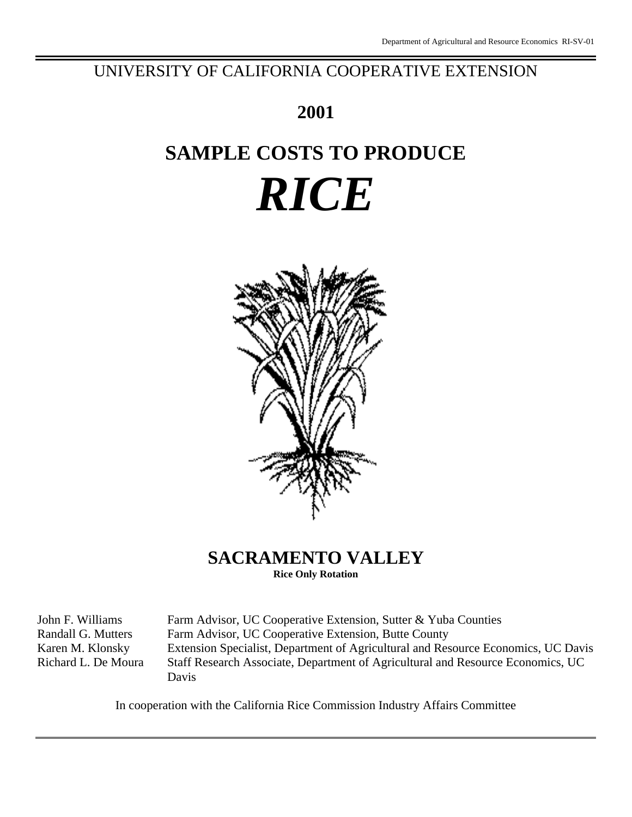## UNIVERSITY OF CALIFORNIA COOPERATIVE EXTENSION

## **2001**

# **SAMPLE COSTS TO PRODUCE** *RICE*



## **SACRAMENTO VALLEY**

**Rice Only Rotation**

John F. Williams Farm Advisor, UC Cooperative Extension, Sutter & Yuba Counties Randall G. Mutters Farm Advisor, UC Cooperative Extension, Butte County Karen M. Klonsky Extension Specialist, Department of Agricultural and Resource Economics, UC Davis Richard L. De Moura Staff Research Associate, Department of Agricultural and Resource Economics, UC Davis

In cooperation with the California Rice Commission Industry Affairs Committee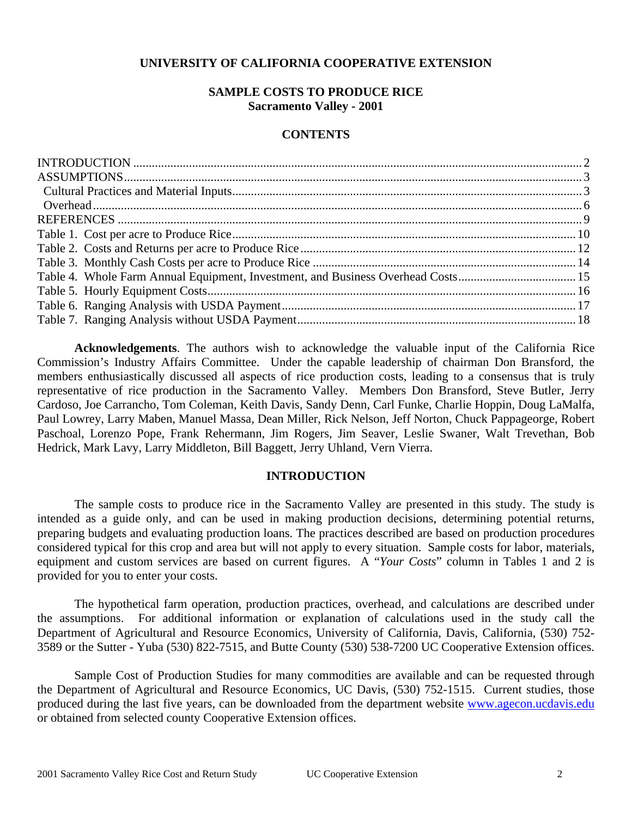### **UNIVERSITY OF CALIFORNIA COOPERATIVE EXTENSION**

### **SAMPLE COSTS TO PRODUCE RICE Sacramento Valley - 2001**

#### **CONTENTS**

**Acknowledgements**. The authors wish to acknowledge the valuable input of the California Rice Commission's Industry Affairs Committee. Under the capable leadership of chairman Don Bransford, the members enthusiastically discussed all aspects of rice production costs, leading to a consensus that is truly representative of rice production in the Sacramento Valley. Members Don Bransford, Steve Butler, Jerry Cardoso, Joe Carrancho, Tom Coleman, Keith Davis, Sandy Denn, Carl Funke, Charlie Hoppin, Doug LaMalfa, Paul Lowrey, Larry Maben, Manuel Massa, Dean Miller, Rick Nelson, Jeff Norton, Chuck Pappageorge, Robert Paschoal, Lorenzo Pope, Frank Rehermann, Jim Rogers, Jim Seaver, Leslie Swaner, Walt Trevethan, Bob Hedrick, Mark Lavy, Larry Middleton, Bill Baggett, Jerry Uhland, Vern Vierra.

#### **INTRODUCTION**

The sample costs to produce rice in the Sacramento Valley are presented in this study. The study is intended as a guide only, and can be used in making production decisions, determining potential returns, preparing budgets and evaluating production loans. The practices described are based on production procedures considered typical for this crop and area but will not apply to every situation. Sample costs for labor, materials, equipment and custom services are based on current figures. A "*Your Costs*" column in Tables 1 and 2 is provided for you to enter your costs.

The hypothetical farm operation, production practices, overhead, and calculations are described under the assumptions. For additional information or explanation of calculations used in the study call the Department of Agricultural and Resource Economics, University of California, Davis, California, (530) 752- 3589 or the Sutter - Yuba (530) 822-7515, and Butte County (530) 538-7200 UC Cooperative Extension offices.

Sample Cost of Production Studies for many commodities are available and can be requested through the Department of Agricultural and Resource Economics, UC Davis, (530) 752-1515. Current studies, those produced during the last five years, can be downloaded from the department website www.agecon.ucdavis.edu or obtained from selected county Cooperative Extension offices.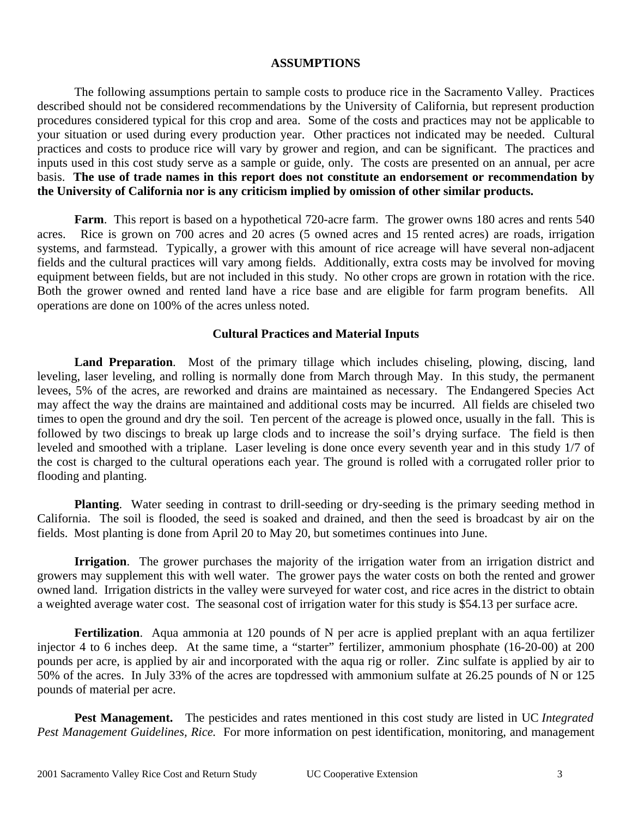#### **ASSUMPTIONS**

The following assumptions pertain to sample costs to produce rice in the Sacramento Valley. Practices described should not be considered recommendations by the University of California, but represent production procedures considered typical for this crop and area. Some of the costs and practices may not be applicable to your situation or used during every production year. Other practices not indicated may be needed.Cultural practices and costs to produce rice will vary by grower and region, and can be significant. The practices and inputs used in this cost study serve as a sample or guide, only. The costs are presented on an annual, per acre basis. **The use of trade names in this report does not constitute an endorsement or recommendation by the University of California nor is any criticism implied by omission of other similar products.**

**Farm**. This report is based on a hypothetical 720-acre farm. The grower owns 180 acres and rents 540 acres. Rice is grown on 700 acres and 20 acres (5 owned acres and 15 rented acres) are roads, irrigation systems, and farmstead. Typically, a grower with this amount of rice acreage will have several non-adjacent fields and the cultural practices will vary among fields. Additionally, extra costs may be involved for moving equipment between fields, but are not included in this study. No other crops are grown in rotation with the rice. Both the grower owned and rented land have a rice base and are eligible for farm program benefits. All operations are done on 100% of the acres unless noted.

#### **Cultural Practices and Material Inputs**

Land Preparation. Most of the primary tillage which includes chiseling, plowing, discing, land leveling, laser leveling, and rolling is normally done from March through May. In this study, the permanent levees, 5% of the acres, are reworked and drains are maintained as necessary. The Endangered Species Act may affect the way the drains are maintained and additional costs may be incurred. All fields are chiseled two times to open the ground and dry the soil. Ten percent of the acreage is plowed once, usually in the fall. This is followed by two discings to break up large clods and to increase the soil's drying surface. The field is then leveled and smoothed with a triplane. Laser leveling is done once every seventh year and in this study 1/7 of the cost is charged to the cultural operations each year. The ground is rolled with a corrugated roller prior to flooding and planting.

**Planting**. Water seeding in contrast to drill-seeding or dry-seeding is the primary seeding method in California. The soil is flooded, the seed is soaked and drained, and then the seed is broadcast by air on the fields. Most planting is done from April 20 to May 20, but sometimes continues into June.

**Irrigation**. The grower purchases the majority of the irrigation water from an irrigation district and growers may supplement this with well water. The grower pays the water costs on both the rented and grower owned land. Irrigation districts in the valley were surveyed for water cost, and rice acres in the district to obtain a weighted average water cost. The seasonal cost of irrigation water for this study is \$54.13 per surface acre.

**Fertilization**. Aqua ammonia at 120 pounds of N per acre is applied preplant with an aqua fertilizer injector 4 to 6 inches deep. At the same time, a "starter" fertilizer, ammonium phosphate (16-20-00) at 200 pounds per acre, is applied by air and incorporated with the aqua rig or roller. Zinc sulfate is applied by air to 50% of the acres. In July 33% of the acres are topdressed with ammonium sulfate at 26.25 pounds of N or 125 pounds of material per acre.

**Pest Management.** The pesticides and rates mentioned in this cost study are listed in UC *Integrated Pest Management Guidelines, Rice.* For more information on pest identification, monitoring, and management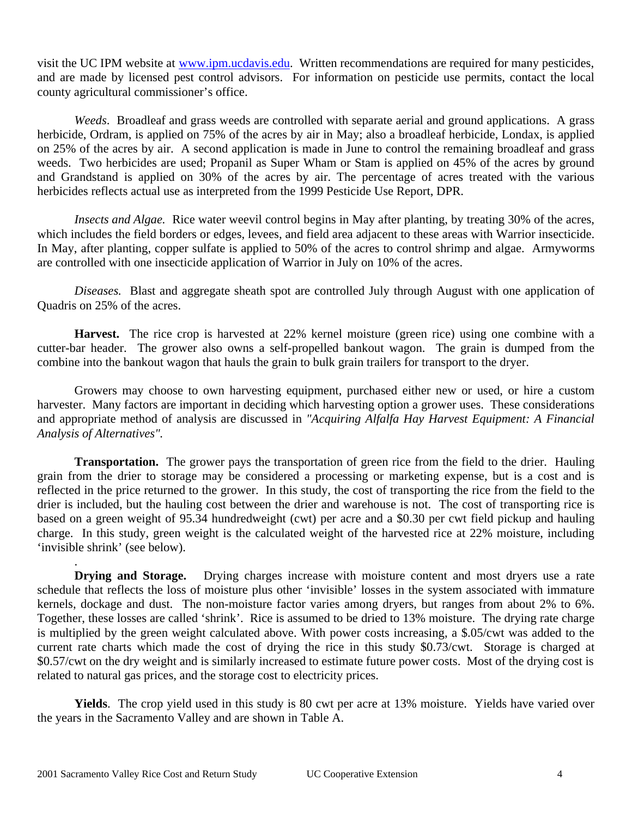visit the UC IPM website at www.ipm.ucdavis.edu. Written recommendations are required for many pesticides, and are made by licensed pest control advisors. For information on pesticide use permits, contact the local county agricultural commissioner's office.

*Weeds*. Broadleaf and grass weeds are controlled with separate aerial and ground applications. A grass herbicide, Ordram, is applied on 75% of the acres by air in May; also a broadleaf herbicide, Londax, is applied on 25% of the acres by air. A second application is made in June to control the remaining broadleaf and grass weeds. Two herbicides are used; Propanil as Super Wham or Stam is applied on 45% of the acres by ground and Grandstand is applied on 30% of the acres by air. The percentage of acres treated with the various herbicides reflects actual use as interpreted from the 1999 Pesticide Use Report, DPR.

*Insects and Algae.* Rice water weevil control begins in May after planting, by treating 30% of the acres, which includes the field borders or edges, levees, and field area adjacent to these areas with Warrior insecticide. In May, after planting, copper sulfate is applied to 50% of the acres to control shrimp and algae. Armyworms are controlled with one insecticide application of Warrior in July on 10% of the acres.

*Diseases.* Blast and aggregate sheath spot are controlled July through August with one application of Quadris on 25% of the acres.

**Harvest.** The rice crop is harvested at 22% kernel moisture (green rice) using one combine with a cutter-bar header. The grower also owns a self-propelled bankout wagon. The grain is dumped from the combine into the bankout wagon that hauls the grain to bulk grain trailers for transport to the dryer.

Growers may choose to own harvesting equipment, purchased either new or used, or hire a custom harvester. Many factors are important in deciding which harvesting option a grower uses. These considerations and appropriate method of analysis are discussed in *"Acquiring Alfalfa Hay Harvest Equipment: A Financial Analysis of Alternatives".*

**Transportation.** The grower pays the transportation of green rice from the field to the drier. Hauling grain from the drier to storage may be considered a processing or marketing expense, but is a cost and is reflected in the price returned to the grower. In this study, the cost of transporting the rice from the field to the drier is included, but the hauling cost between the drier and warehouse is not. The cost of transporting rice is based on a green weight of 95.34 hundredweight (cwt) per acre and a \$0.30 per cwt field pickup and hauling charge. In this study, green weight is the calculated weight of the harvested rice at 22% moisture, including 'invisible shrink' (see below).

**Drying and Storage.** Drying charges increase with moisture content and most dryers use a rate schedule that reflects the loss of moisture plus other 'invisible' losses in the system associated with immature kernels, dockage and dust. The non-moisture factor varies among dryers, but ranges from about 2% to 6%. Together, these losses are called 'shrink'. Rice is assumed to be dried to 13% moisture. The drying rate charge is multiplied by the green weight calculated above. With power costs increasing, a \$.05/cwt was added to the current rate charts which made the cost of drying the rice in this study \$0.73/cwt. Storage is charged at \$0.57/cwt on the dry weight and is similarly increased to estimate future power costs. Most of the drying cost is related to natural gas prices, and the storage cost to electricity prices.

**Yields**. The crop yield used in this study is 80 cwt per acre at 13% moisture. Yields have varied over the years in the Sacramento Valley and are shown in Table A.

.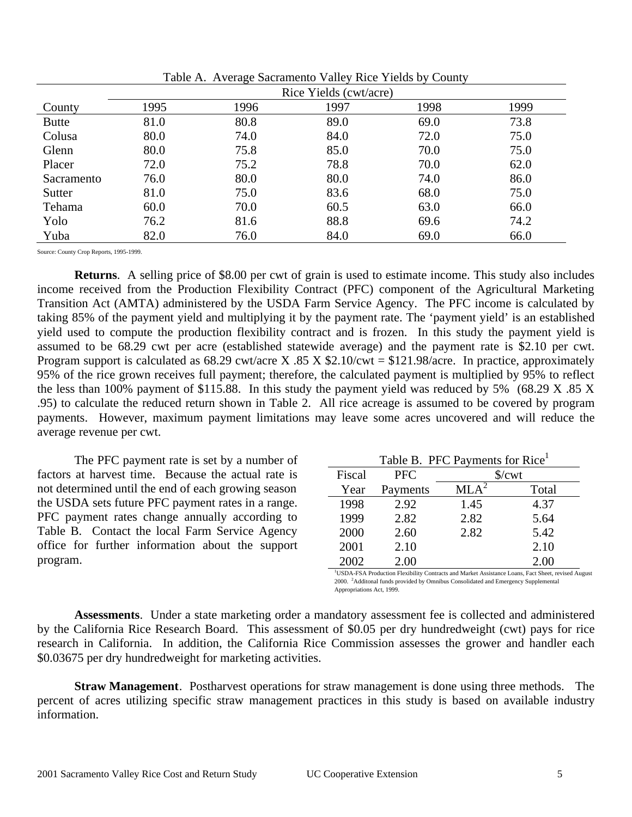|              | Rice Yields (cwt/acre) |      |      |      |      |  |  |  |  |  |  |
|--------------|------------------------|------|------|------|------|--|--|--|--|--|--|
| County       | 1995                   | 1996 | 1997 | 1998 | 1999 |  |  |  |  |  |  |
| <b>Butte</b> | 81.0                   | 80.8 | 89.0 | 69.0 | 73.8 |  |  |  |  |  |  |
| Colusa       | 80.0                   | 74.0 | 84.0 | 72.0 | 75.0 |  |  |  |  |  |  |
| Glenn        | 80.0                   | 75.8 | 85.0 | 70.0 | 75.0 |  |  |  |  |  |  |
| Placer       | 72.0                   | 75.2 | 78.8 | 70.0 | 62.0 |  |  |  |  |  |  |
| Sacramento   | 76.0                   | 80.0 | 80.0 | 74.0 | 86.0 |  |  |  |  |  |  |
| Sutter       | 81.0                   | 75.0 | 83.6 | 68.0 | 75.0 |  |  |  |  |  |  |
| Tehama       | 60.0                   | 70.0 | 60.5 | 63.0 | 66.0 |  |  |  |  |  |  |
| Yolo         | 76.2                   | 81.6 | 88.8 | 69.6 | 74.2 |  |  |  |  |  |  |
| Yuba         | 82.0                   | 76.0 | 84.0 | 69.0 | 66.0 |  |  |  |  |  |  |

Table A. Average Sacramento Valley Rice Yields by County

Source: County Crop Reports, 1995-1999.

**Returns**. A selling price of \$8.00 per cwt of grain is used to estimate income. This study also includes income received from the Production Flexibility Contract (PFC) component of the Agricultural Marketing Transition Act (AMTA) administered by the USDA Farm Service Agency. The PFC income is calculated by taking 85% of the payment yield and multiplying it by the payment rate. The 'payment yield' is an established yield used to compute the production flexibility contract and is frozen. In this study the payment yield is assumed to be 68.29 cwt per acre (established statewide average) and the payment rate is \$2.10 per cwt. Program support is calculated as  $68.29$  cwt/acre X  $.85$  X  $$2.10$ /cwt = \$121.98/acre. In practice, approximately 95% of the rice grown receives full payment; therefore, the calculated payment is multiplied by 95% to reflect the less than 100% payment of \$115.88. In this study the payment yield was reduced by 5% (68.29 X .85 X .95) to calculate the reduced return shown in Table 2. All rice acreage is assumed to be covered by program payments. However, maximum payment limitations may leave some acres uncovered and will reduce the average revenue per cwt.

The PFC payment rate is set by a number of factors at harvest time. Because the actual rate is not determined until the end of each growing season the USDA sets future PFC payment rates in a range. PFC payment rates change annually according to Table B. Contact the local Farm Service Agency office for further information about the support program.

| Table B. PFC Payments for Rice <sup>1</sup> |            |                  |       |  |  |  |  |  |  |  |  |
|---------------------------------------------|------------|------------------|-------|--|--|--|--|--|--|--|--|
| Fiscal                                      | <b>PFC</b> | $\sqrt{$}$ /cwt  |       |  |  |  |  |  |  |  |  |
| Year                                        | Payments   | MLA <sup>2</sup> | Total |  |  |  |  |  |  |  |  |
| 1998                                        | 2.92       | 1.45             | 4.37  |  |  |  |  |  |  |  |  |
| 1999                                        | 2.82       | 2.82             | 5.64  |  |  |  |  |  |  |  |  |
| 2000                                        | 2.60       | 2.82             | 5.42  |  |  |  |  |  |  |  |  |
| 2001                                        | 2.10       |                  | 2.10  |  |  |  |  |  |  |  |  |
| 2002                                        | 2.00       |                  | 2.00  |  |  |  |  |  |  |  |  |

<sup>1</sup>USDA-FSA Production Flexibility Contracts and Market Assistance Loans, Fact Sheet, revised August 2000. <sup>2</sup>Additonal funds provided by Omnibus Consolidated and Emergency Supplemental Appropriations Act, 1999.

**Assessments**. Under a state marketing order a mandatory assessment fee is collected and administered by the California Rice Research Board. This assessment of \$0.05 per dry hundredweight (cwt) pays for rice research in California. In addition, the California Rice Commission assesses the grower and handler each \$0.03675 per dry hundredweight for marketing activities.

**Straw Management**. Postharvest operations for straw management is done using three methods. The percent of acres utilizing specific straw management practices in this study is based on available industry information.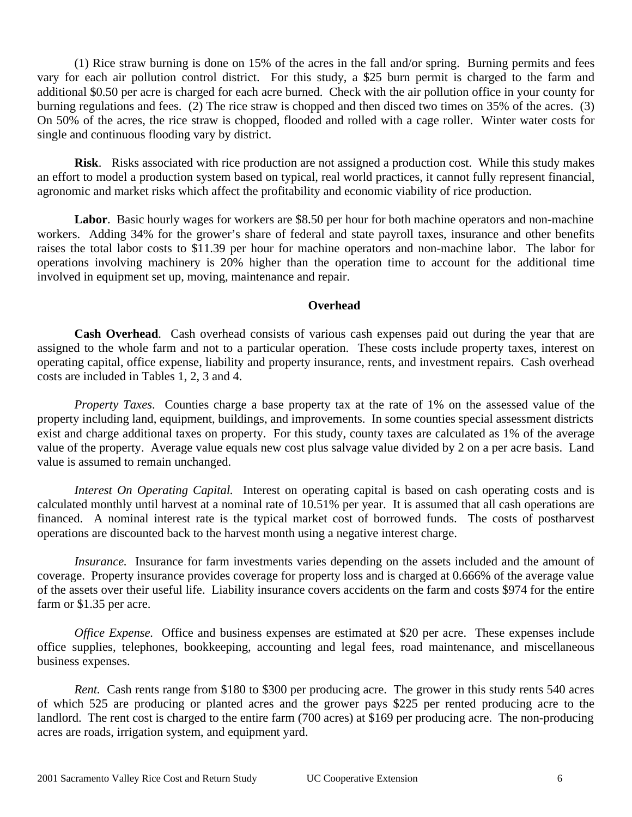(1) Rice straw burning is done on 15% of the acres in the fall and/or spring. Burning permits and fees vary for each air pollution control district. For this study, a \$25 burn permit is charged to the farm and additional \$0.50 per acre is charged for each acre burned. Check with the air pollution office in your county for burning regulations and fees. (2) The rice straw is chopped and then disced two times on 35% of the acres. (3) On 50% of the acres, the rice straw is chopped, flooded and rolled with a cage roller. Winter water costs for single and continuous flooding vary by district.

**Risk**. Risks associated with rice production are not assigned a production cost. While this study makes an effort to model a production system based on typical, real world practices, it cannot fully represent financial, agronomic and market risks which affect the profitability and economic viability of rice production.

**Labor**. Basic hourly wages for workers are \$8.50 per hour for both machine operators and non-machine workers. Adding 34% for the grower's share of federal and state payroll taxes, insurance and other benefits raises the total labor costs to \$11.39 per hour for machine operators and non-machine labor. The labor for operations involving machinery is 20% higher than the operation time to account for the additional time involved in equipment set up, moving, maintenance and repair.

#### **Overhead**

**Cash Overhead**. Cash overhead consists of various cash expenses paid out during the year that are assigned to the whole farm and not to a particular operation. These costs include property taxes, interest on operating capital, office expense, liability and property insurance, rents, and investment repairs. Cash overhead costs are included in Tables 1, 2, 3 and 4.

*Property Taxes.* Counties charge a base property tax at the rate of 1% on the assessed value of the property including land, equipment, buildings, and improvements. In some counties special assessment districts exist and charge additional taxes on property. For this study, county taxes are calculated as 1% of the average value of the property. Average value equals new cost plus salvage value divided by 2 on a per acre basis. Land value is assumed to remain unchanged.

*Interest On Operating Capital.* Interest on operating capital is based on cash operating costs and is calculated monthly until harvest at a nominal rate of 10.51% per year. It is assumed that all cash operations are financed. A nominal interest rate is the typical market cost of borrowed funds. The costs of postharvest operations are discounted back to the harvest month using a negative interest charge.

*Insurance.* Insurance for farm investments varies depending on the assets included and the amount of coverage. Property insurance provides coverage for property loss and is charged at 0.666% of the average value of the assets over their useful life. Liability insurance covers accidents on the farm and costs \$974 for the entire farm or \$1.35 per acre.

*Office Expense.* Office and business expenses are estimated at \$20 per acre. These expenses include office supplies, telephones, bookkeeping, accounting and legal fees, road maintenance, and miscellaneous business expenses.

*Rent.* Cash rents range from \$180 to \$300 per producing acre. The grower in this study rents 540 acres of which 525 are producing or planted acres and the grower pays \$225 per rented producing acre to the landlord. The rent cost is charged to the entire farm (700 acres) at \$169 per producing acre. The non-producing acres are roads, irrigation system, and equipment yard.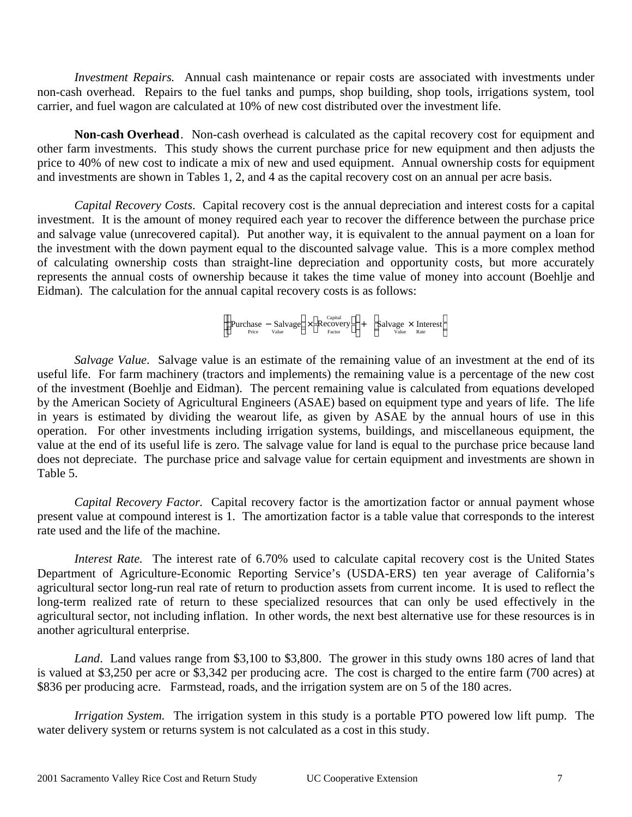*Investment Repairs.* Annual cash maintenance or repair costs are associated with investments under non-cash overhead. Repairs to the fuel tanks and pumps, shop building, shop tools, irrigations system, tool carrier, and fuel wagon are calculated at 10% of new cost distributed over the investment life.

**Non-cash Overhead**. Non-cash overhead is calculated as the capital recovery cost for equipment and other farm investments. This study shows the current purchase price for new equipment and then adjusts the price to 40% of new cost to indicate a mix of new and used equipment. Annual ownership costs for equipment and investments are shown in Tables 1, 2, and 4 as the capital recovery cost on an annual per acre basis.

*Capital Recovery Costs*. Capital recovery cost is the annual depreciation and interest costs for a capital investment. It is the amount of money required each year to recover the difference between the purchase price and salvage value (unrecovered capital). Put another way, it is equivalent to the annual payment on a loan for the investment with the down payment equal to the discounted salvage value. This is a more complex method of calculating ownership costs than straight-line depreciation and opportunity costs, but more accurately represents the annual costs of ownership because it takes the time value of money into account (Boehlje and Eidman). The calculation for the annual capital recovery costs is as follows:

> Purchase − Salvage Price Value  $\overline{a}$ Purchase  $-\frac{Salvage}{value}$  $\times$  Recover  $\chi$  Factor Capital<br>Recovery<br>Factor  $\mathbf{r}$  $\begin{array}{ccc}\n\text{Purchase} & - \text{Salvage} & \times & \text{Recovery} \\
> \text{Price} & \text{Value} & & \text{Factor}\n\end{array} \rightarrow$  + Salvage × Interest Value Rate  $\overline{a}$  $\mathbf{S}^{\text{c}}$

*Salvage Value*. Salvage value is an estimate of the remaining value of an investment at the end of its useful life. For farm machinery (tractors and implements) the remaining value is a percentage of the new cost of the investment (Boehlje and Eidman). The percent remaining value is calculated from equations developed by the American Society of Agricultural Engineers (ASAE) based on equipment type and years of life. The life in years is estimated by dividing the wearout life, as given by ASAE by the annual hours of use in this operation. For other investments including irrigation systems, buildings, and miscellaneous equipment, the value at the end of its useful life is zero. The salvage value for land is equal to the purchase price because land does not depreciate. The purchase price and salvage value for certain equipment and investments are shown in Table 5.

*Capital Recovery Factor.* Capital recovery factor is the amortization factor or annual payment whose present value at compound interest is 1. The amortization factor is a table value that corresponds to the interest rate used and the life of the machine.

*Interest Rate.* The interest rate of 6.70% used to calculate capital recovery cost is the United States Department of Agriculture-Economic Reporting Service's (USDA-ERS) ten year average of California's agricultural sector long-run real rate of return to production assets from current income. It is used to reflect the long-term realized rate of return to these specialized resources that can only be used effectively in the agricultural sector, not including inflation. In other words, the next best alternative use for these resources is in another agricultural enterprise.

*Land*. Land values range from \$3,100 to \$3,800. The grower in this study owns 180 acres of land that is valued at \$3,250 per acre or \$3,342 per producing acre. The cost is charged to the entire farm (700 acres) at \$836 per producing acre. Farmstead, roads, and the irrigation system are on 5 of the 180 acres.

*Irrigation System.* The irrigation system in this study is a portable PTO powered low lift pump. The water delivery system or returns system is not calculated as a cost in this study.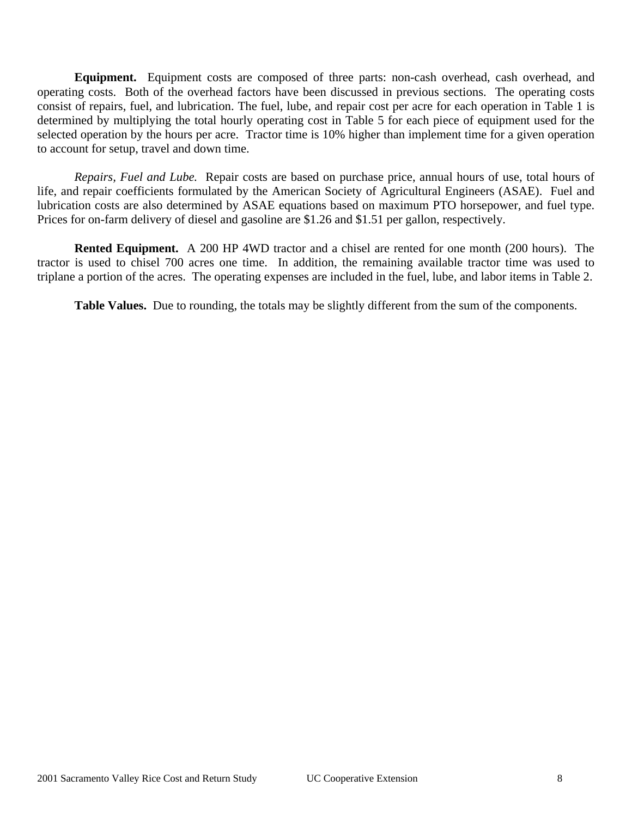**Equipment.** Equipment costs are composed of three parts: non-cash overhead, cash overhead, and operating costs. Both of the overhead factors have been discussed in previous sections. The operating costs consist of repairs, fuel, and lubrication. The fuel, lube, and repair cost per acre for each operation in Table 1 is determined by multiplying the total hourly operating cost in Table 5 for each piece of equipment used for the selected operation by the hours per acre. Tractor time is 10% higher than implement time for a given operation to account for setup, travel and down time.

*Repairs, Fuel and Lube.* Repair costs are based on purchase price, annual hours of use, total hours of life, and repair coefficients formulated by the American Society of Agricultural Engineers (ASAE). Fuel and lubrication costs are also determined by ASAE equations based on maximum PTO horsepower, and fuel type. Prices for on-farm delivery of diesel and gasoline are \$1.26 and \$1.51 per gallon, respectively.

**Rented Equipment.** A 200 HP 4WD tractor and a chisel are rented for one month (200 hours). The tractor is used to chisel 700 acres one time. In addition, the remaining available tractor time was used to triplane a portion of the acres. The operating expenses are included in the fuel, lube, and labor items in Table 2.

**Table Values.** Due to rounding, the totals may be slightly different from the sum of the components.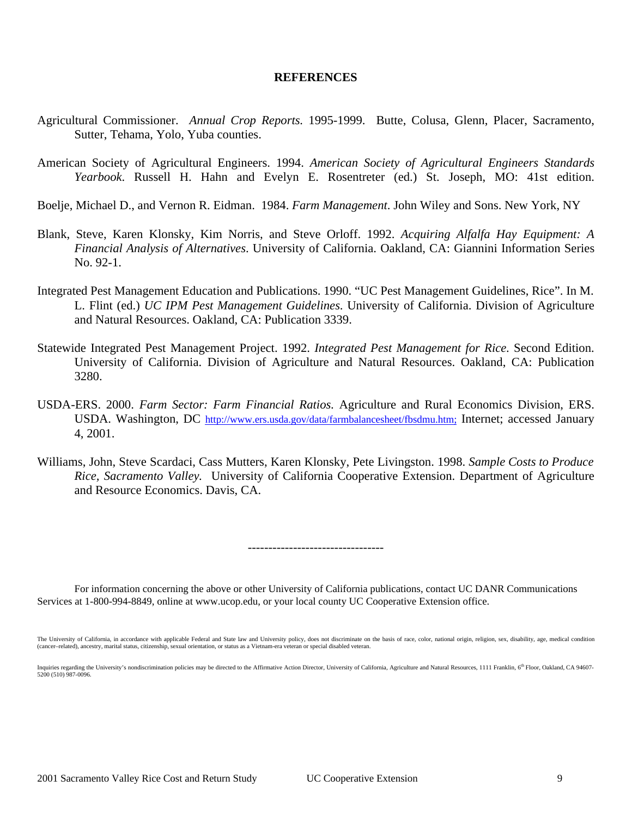#### **REFERENCES**

- Agricultural Commissioner. *Annual Crop Reports.* 1995-1999. Butte, Colusa, Glenn, Placer, Sacramento, Sutter, Tehama, Yolo, Yuba counties.
- American Society of Agricultural Engineers. 1994. *American Society of Agricultural Engineers Standards Yearbook*. Russell H. Hahn and Evelyn E. Rosentreter (ed.) St. Joseph, MO: 41st edition.
- Boelje, Michael D., and Vernon R. Eidman. 1984. *Farm Management*. John Wiley and Sons. New York, NY
- Blank, Steve, Karen Klonsky, Kim Norris, and Steve Orloff. 1992. *Acquiring Alfalfa Hay Equipment: A Financial Analysis of Alternatives*. University of California. Oakland, CA: Giannini Information Series No. 92-1.
- Integrated Pest Management Education and Publications. 1990. "UC Pest Management Guidelines, Rice". In M. L. Flint (ed.) *UC IPM Pest Management Guidelines*. University of California. Division of Agriculture and Natural Resources. Oakland, CA: Publication 3339.
- Statewide Integrated Pest Management Project. 1992. *Integrated Pest Management for Rice*. Second Edition. University of California. Division of Agriculture and Natural Resources. Oakland, CA: Publication 3280.
- USDA-ERS. 2000. *Farm Sector: Farm Financial Ratios*. Agriculture and Rural Economics Division, ERS. USDA. Washington, DC http://www.ers.usda.gov/data/farmbalancesheet/fbsdmu.htm; Internet; accessed January 4, 2001.
- Williams, John, Steve Scardaci, Cass Mutters, Karen Klonsky, Pete Livingston. 1998. *Sample Costs to Produce Rice, Sacramento Valley.* University of California Cooperative Extension. Department of Agriculture and Resource Economics. Davis, CA.

---------------------------------

For information concerning the above or other University of California publications, contact UC DANR Communications Services at 1-800-994-8849, online at www.ucop.edu, or your local county UC Cooperative Extension office.

The University of California, in accordance with applicable Federal and State law and University policy, does not discriminate on the basis of race, color, national origin, religion, sex, disability, age, medical condition (cancer–related), ancestry, marital status, citizenship, sexual orientation, or status as a Vietnam-era veteran or special disabled veteran.

Inquiries regarding the University's nondiscrimination policies may be directed to the Affirmative Action Director, University of California, Agriculture and Natural Resources, 1111 Franklin, 6<sup>th</sup> Floor, Oakland, CA 94607 5200 (510) 987-0096.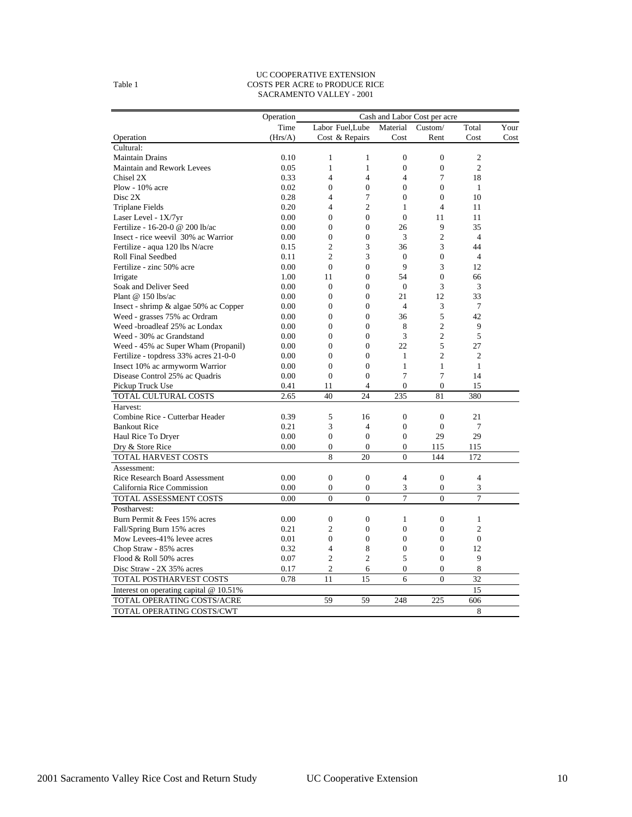#### UC COOPERATIVE EXTENSION Table 1 COSTS PER ACRE to PRODUCE RICE SACRAMENTO VALLEY - 2001

|                                        | Operation | Cash and Labor Cost per acre |                  |                  |                  |                |      |
|----------------------------------------|-----------|------------------------------|------------------|------------------|------------------|----------------|------|
|                                        | Time      |                              | Labor Fuel.Lube  | Material         | Custom/          | Total          | Your |
| Operation                              | (Hrs/A)   |                              | Cost & Repairs   | Cost             | Rent             | Cost           | Cost |
| Cultural:                              |           |                              |                  |                  |                  |                |      |
| <b>Maintain Drains</b>                 | 0.10      | $\mathbf{1}$                 | $\mathbf{1}$     | $\mathbf{0}$     | $\boldsymbol{0}$ | $\overline{2}$ |      |
| Maintain and Rework Levees             | 0.05      | $\mathbf{1}$                 | $\mathbf{1}$     | $\mathbf{0}$     | $\mathbf{0}$     | $\overline{2}$ |      |
| Chisel 2X                              | 0.33      | $\overline{4}$               | $\overline{4}$   | $\overline{4}$   | 7                | 18             |      |
| Plow - $10\%$ acre                     | 0.02      | $\overline{0}$               | $\overline{0}$   | $\mathbf{0}$     | $\mathbf{0}$     | $\mathbf{1}$   |      |
| Disc 2X                                | 0.28      | $\overline{4}$               | 7                | $\mathbf{0}$     | $\mathbf{0}$     | 10             |      |
| <b>Triplane Fields</b>                 | 0.20      | $\overline{4}$               | $\overline{c}$   | 1                | $\overline{4}$   | 11             |      |
| Laser Level - 1X/7yr                   | 0.00      | $\overline{0}$               | $\mathbf{0}$     | $\mathbf{0}$     | 11               | 11             |      |
| Fertilize - 16-20-0 @ 200 lb/ac        | 0.00      | $\mathbf{0}$                 | $\mathbf{0}$     | 26               | 9                | 35             |      |
| Insect - rice weevil 30% ac Warrior    | 0.00      | $\overline{0}$               | $\overline{0}$   | 3                | $\overline{2}$   | $\overline{4}$ |      |
| Fertilize - aqua 120 lbs N/acre        | 0.15      | $\overline{2}$               | 3                | 36               | 3                | 44             |      |
| Roll Final Seedbed                     | 0.11      | $\overline{2}$               | 3                | $\mathbf{0}$     | $\mathbf{0}$     | $\overline{4}$ |      |
| Fertilize - zinc 50% acre              | 0.00      | $\theta$                     | $\overline{0}$   | 9                | 3                | 12             |      |
| Irrigate                               | 1.00      | 11                           | $\mathbf{0}$     | 54               | $\boldsymbol{0}$ | 66             |      |
| Soak and Deliver Seed                  | 0.00      | $\mathbf{0}$                 | $\overline{0}$   | $\boldsymbol{0}$ | 3                | 3              |      |
| Plant $@$ 150 lbs/ac                   | 0.00      | $\overline{0}$               | $\overline{0}$   | 21               | 12               | 33             |      |
| Insect - shrimp & algae 50% ac Copper  | 0.00      | $\mathbf{0}$                 | $\overline{0}$   | $\overline{4}$   | 3                | 7              |      |
| Weed - grasses 75% ac Ordram           | 0.00      | $\overline{0}$               | $\overline{0}$   | 36               | 5                | 42             |      |
| Weed -broadleaf 25% ac Londax          | 0.00      | $\mathbf{0}$                 | $\overline{0}$   | 8                | $\overline{c}$   | 9              |      |
| Weed - 30% ac Grandstand               | 0.00      | $\overline{0}$               | $\overline{0}$   | 3                | $\overline{c}$   | 5              |      |
| Weed - 45% ac Super Wham (Propanil)    | 0.00      | $\boldsymbol{0}$             | $\mathbf{0}$     | 22               | 5                | 27             |      |
| Fertilize - topdress 33% acres 21-0-0  | 0.00      | $\overline{0}$               | $\overline{0}$   | $\mathbf{1}$     | $\overline{c}$   | $\overline{c}$ |      |
| Insect 10% ac armyworm Warrior         | 0.00      | $\overline{0}$               | $\overline{0}$   | $\mathbf{1}$     | $\mathbf{1}$     | $\mathbf{1}$   |      |
| Disease Control 25% ac Quadris         | 0.00      | $\Omega$                     | $\overline{0}$   | 7                | 7                | 14             |      |
| Pickup Truck Use                       | 0.41      | 11                           | $\overline{4}$   | $\mathbf{0}$     | $\mathbf{0}$     | 15             |      |
| TOTAL CULTURAL COSTS                   | 2.65      | 40                           | 24               | 235              | 81               | 380            |      |
| Harvest:                               |           |                              |                  |                  |                  |                |      |
| Combine Rice - Cutterbar Header        | 0.39      | 5                            | 16               | $\boldsymbol{0}$ | $\boldsymbol{0}$ | 21             |      |
| <b>Bankout Rice</b>                    | 0.21      | 3                            | $\overline{4}$   | $\boldsymbol{0}$ | $\mathbf{0}$     | 7              |      |
| Haul Rice To Dryer                     | 0.00      | $\overline{0}$               | $\theta$         | $\mathbf{0}$     | 29               | 29             |      |
| Dry & Store Rice                       | 0.00      | $\mathbf{0}$                 | $\theta$         | $\Omega$         | 115              | 115            |      |
| TOTAL HARVEST COSTS                    |           | 8                            | 20               | $\theta$         | 144              | 172            |      |
| Assessment:                            |           |                              |                  |                  |                  |                |      |
| <b>Rice Research Board Assessment</b>  | 0.00      | $\mathbf{0}$                 | $\overline{0}$   | $\overline{4}$   | $\boldsymbol{0}$ | $\overline{4}$ |      |
| California Rice Commission             | 0.00      | $\mathbf{0}$                 | $\mathbf{0}$     | 3                | $\mathbf{0}$     | 3              |      |
| TOTAL ASSESSMENT COSTS                 | 0.00      | $\boldsymbol{0}$             | $\boldsymbol{0}$ | 7                | $\boldsymbol{0}$ | $\overline{7}$ |      |
| Postharvest:                           |           |                              |                  |                  |                  |                |      |
| Burn Permit & Fees 15% acres           | 0.00      | $\mathbf{0}$                 | $\overline{0}$   | $\mathbf{1}$     | $\mathbf{0}$     | $\mathbf{1}$   |      |
| Fall/Spring Burn 15% acres             | 0.21      | $\overline{2}$               | $\overline{0}$   | $\mathbf{0}$     | $\mathbf{0}$     | $\overline{c}$ |      |
| Mow Levees-41% levee acres             | 0.01      | $\overline{0}$               | $\overline{0}$   | $\mathbf{0}$     | $\mathbf{0}$     | $\mathbf{0}$   |      |
| Chop Straw - 85% acres                 | 0.32      | $\overline{4}$               | 8                | $\boldsymbol{0}$ | $\boldsymbol{0}$ | 12             |      |
| Flood & Roll 50% acres                 | 0.07      | $\overline{2}$               | $\overline{2}$   | 5                | $\mathbf{0}$     | 9              |      |
| Disc Straw - 2X 35% acres              | 0.17      | $\mathfrak{2}$               | 6                | $\mathbf{0}$     | $\mathbf{0}$     | 8              |      |
| TOTAL POSTHARVEST COSTS                | 0.78      | 11                           | 15               | 6                | $\overline{0}$   | 32             |      |
| Interest on operating capital @ 10.51% |           |                              |                  |                  |                  | 15             |      |
| TOTAL OPERATING COSTS/ACRE             |           | 59                           | 59               | 248              | 225              | 606            |      |
| TOTAL OPERATING COSTS/CWT              |           |                              |                  |                  |                  | 8              |      |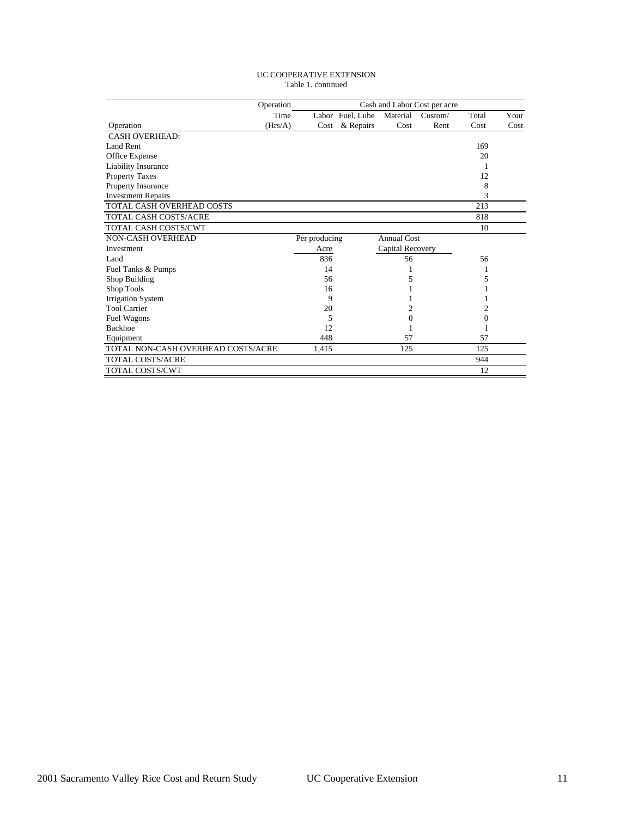#### UC COOPERATIVE EXTENSION Table 1. continued

|                                    | Operation | Cash and Labor Cost per acre |                  |                    |         |       |      |  |
|------------------------------------|-----------|------------------------------|------------------|--------------------|---------|-------|------|--|
|                                    | Time      |                              | Labor Fuel, Lube | Material           | Custom/ | Total | Your |  |
| Operation                          | (Hrs/A)   | Cost                         | & Repairs        | Cost               | Rent    | Cost  | Cost |  |
| <b>CASH OVERHEAD:</b>              |           |                              |                  |                    |         |       |      |  |
| Land Rent                          |           |                              |                  |                    |         | 169   |      |  |
| Office Expense                     |           |                              |                  |                    |         | 20    |      |  |
| <b>Liability Insurance</b>         |           |                              |                  |                    |         |       |      |  |
| <b>Property Taxes</b>              |           |                              |                  |                    |         | 12    |      |  |
| Property Insurance                 |           |                              |                  |                    |         | 8     |      |  |
| <b>Investment Repairs</b>          |           |                              |                  |                    |         | 3     |      |  |
| TOTAL CASH OVERHEAD COSTS          |           |                              |                  |                    |         | 213   |      |  |
| TOTAL CASH COSTS/ACRE              |           |                              |                  |                    |         | 818   |      |  |
| TOTAL CASH COSTS/CWT               |           |                              |                  |                    |         | 10    |      |  |
| <b>NON-CASH OVERHEAD</b>           |           | Per producing                |                  | <b>Annual Cost</b> |         |       |      |  |
| Investment                         |           | Acre                         |                  | Capital Recovery   |         |       |      |  |
| Land                               |           | 836                          |                  | 56                 |         | 56    |      |  |
| Fuel Tanks & Pumps                 |           | 14                           |                  |                    |         |       |      |  |
| Shop Building                      |           | 56                           |                  | 5                  |         | 5     |      |  |
| Shop Tools                         |           | 16                           |                  |                    |         |       |      |  |
| <b>Irrigation System</b>           |           | 9                            |                  |                    |         |       |      |  |
| <b>Tool Carrier</b>                |           | 20                           |                  | 2                  |         | 2     |      |  |
| Fuel Wagons                        |           | 5                            |                  | $\Omega$           |         | 0     |      |  |
| <b>Backhoe</b>                     |           | 12                           |                  |                    |         |       |      |  |
| Equipment                          |           | 448                          |                  | 57                 |         | 57    |      |  |
| TOTAL NON-CASH OVERHEAD COSTS/ACRE |           | 1,415                        |                  | 125                |         | 125   |      |  |
| <b>TOTAL COSTS/ACRE</b>            |           |                              |                  |                    |         | 944   |      |  |
| TOTAL COSTS/CWT                    |           |                              |                  |                    |         | 12    |      |  |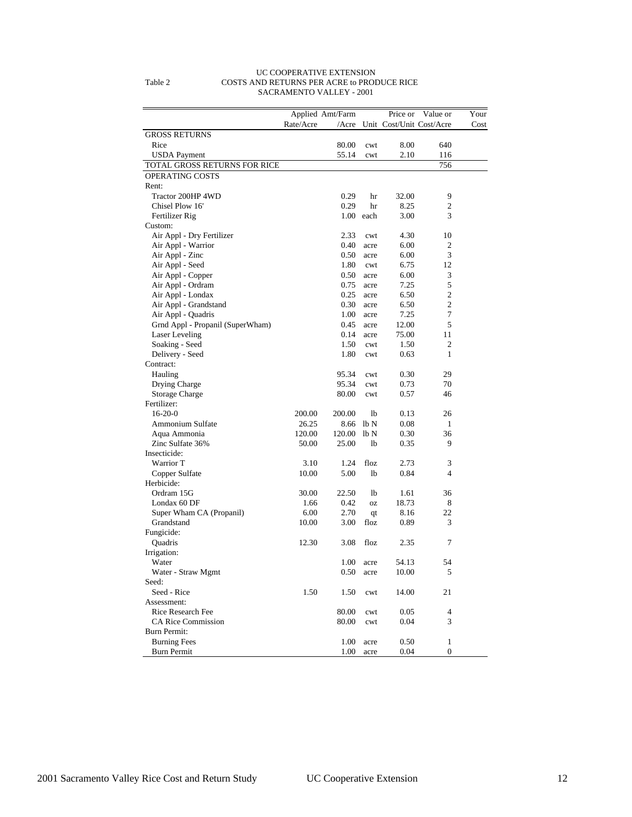|                                  |           | Applied Amt/Farm |              | Price or | Value or                 | Your |
|----------------------------------|-----------|------------------|--------------|----------|--------------------------|------|
|                                  | Rate/Acre | $/$ Acre         |              |          | Unit Cost/Unit Cost/Acre | Cost |
| <b>GROSS RETURNS</b>             |           |                  |              |          |                          |      |
| Rice                             |           | 80.00            | cwt          | 8.00     | 640                      |      |
| <b>USDA</b> Payment              |           | 55.14            | cwt          | 2.10     | 116                      |      |
| TOTAL GROSS RETURNS FOR RICE     |           |                  |              |          | 756                      |      |
| <b>OPERATING COSTS</b>           |           |                  |              |          |                          |      |
| Rent:                            |           |                  |              |          |                          |      |
| Tractor 200HP 4WD                |           | 0.29             | hr           | 32.00    | 9                        |      |
| Chisel Plow 16'                  |           | 0.29             | hr           | 8.25     | $\overline{c}$           |      |
| Fertilizer Rig                   |           |                  | $1.00$ each  | 3.00     | 3                        |      |
| Custom:                          |           |                  |              |          |                          |      |
| Air Appl - Dry Fertilizer        |           | 2.33             | cwt          | 4.30     | 10                       |      |
| Air Appl - Warrior               |           | 0.40             | acre         | 6.00     | $\overline{2}$           |      |
| Air Appl - Zinc                  |           | 0.50             | acre         | 6.00     | 3                        |      |
| Air Appl - Seed                  |           | 1.80             | cwt          | 6.75     | 12                       |      |
| Air Appl - Copper                |           | 0.50             | acre         | 6.00     | 3                        |      |
| Air Appl - Ordram                |           | 0.75             | acre         | 7.25     | 5                        |      |
| Air Appl - Londax                |           | 0.25             | acre         | 6.50     | $\overline{2}$           |      |
| Air Appl - Grandstand            |           | 0.30             | acre         | 6.50     | $\overline{c}$           |      |
| Air Appl - Quadris               |           | 1.00             | acre         | 7.25     | 7                        |      |
| Grnd Appl - Propanil (SuperWham) |           | 0.45             | acre         | 12.00    | 5                        |      |
| Laser Leveling                   |           | 0.14             | acre         | 75.00    | 11                       |      |
| Soaking - Seed                   |           | 1.50             | cwt          | 1.50     | $\overline{2}$           |      |
| Delivery - Seed                  |           | 1.80             | cwt          | 0.63     | 1                        |      |
| Contract:                        |           |                  |              |          |                          |      |
| Hauling                          |           | 95.34            | cwt          | 0.30     | 29                       |      |
| Drying Charge                    |           | 95.34            | cwt          | 0.73     | 70                       |      |
| <b>Storage Charge</b>            |           | 80.00            | cwt          | 0.57     | 46                       |      |
| Fertilizer:                      |           |                  |              |          |                          |      |
| $16-20-0$                        | 200.00    | 200.00           | lb           | 0.13     | 26                       |      |
| Ammonium Sulfate                 | 26.25     | 8.66             | lb N         | 0.08     | 1                        |      |
| Aqua Ammonia                     | 120.00    | 120.00           | lb N         | 0.30     | 36                       |      |
| Zinc Sulfate 36%                 | 50.00     | 25.00            | lb           | 0.35     | 9                        |      |
| Insecticide:                     |           |                  |              |          |                          |      |
| Warrior T                        | 3.10      | 1.24             | floz         | 2.73     | 3                        |      |
| Copper Sulfate                   | 10.00     | 5.00             | lb           | 0.84     | 4                        |      |
| Herbicide:                       |           |                  |              |          |                          |      |
| Ordram 15G                       | 30.00     | 22.50            | 1b           | 1.61     | 36                       |      |
| Londax 60 DF                     | 1.66      | 0.42             | <b>OZ</b>    | 18.73    | 8                        |      |
| Super Wham CA (Propanil)         | 6.00      | 2.70             | qt           | 8.16     | 22                       |      |
| Grandstand                       | 10.00     | 3.00             | floz         | 0.89     | 3                        |      |
| Fungicide:                       |           |                  |              |          |                          |      |
| Quadris                          | 12.30     | 3.08             | floz         | 2.35     | 7                        |      |
| Irrigation:                      |           |                  |              |          |                          |      |
| Water                            |           | 1.00             | acre         | 54.13    | 54                       |      |
| Water - Straw Mgmt               |           | 0.50             | acre         | 10.00    | 5                        |      |
| Seed:                            |           |                  |              |          |                          |      |
| Seed - Rice                      | 1.50      | 1.50             | cwt          | 14.00    | 21                       |      |
| Assessment:                      |           |                  |              |          |                          |      |
| Rice Research Fee                |           | 80.00            | cwt          | 0.05     | $\overline{4}$           |      |
| <b>CA Rice Commission</b>        |           | 80.00            |              |          | 3                        |      |
| Burn Permit:                     |           |                  | cwt          | 0.04     |                          |      |
| <b>Burning Fees</b>              |           | 1.00             |              | 0.50     | 1                        |      |
| <b>Burn Permit</b>               |           | 1.00             | acre<br>acre | 0.04     | $\boldsymbol{0}$         |      |
|                                  |           |                  |              |          |                          |      |

#### UC COOPERATIVE EXTENSION Table 2 COSTS AND RETURNS PER ACRE to PRODUCE RICE SACRAMENTO VALLEY - 2001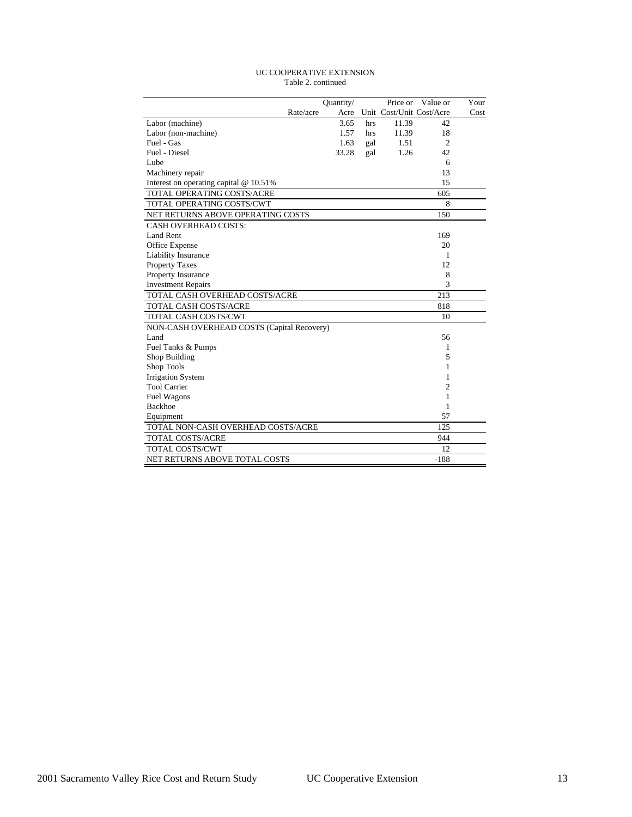#### UC COOPERATIVE EXTENSION Table 2. continued

|                                            |           | Quantity/ |     | Price or | Value or                 | Your |
|--------------------------------------------|-----------|-----------|-----|----------|--------------------------|------|
|                                            | Rate/acre | Acre      |     |          | Unit Cost/Unit Cost/Acre | Cost |
| Labor (machine)                            |           | 3.65      | hrs | 11.39    | 42                       |      |
| Labor (non-machine)                        |           | 1.57      | hrs | 11.39    | 18                       |      |
| Fuel - Gas                                 |           | 1.63      | gal | 1.51     | $\overline{2}$           |      |
| Fuel - Diesel                              |           | 33.28     | gal | 1.26     | 42                       |      |
| Lube                                       |           |           |     |          | 6                        |      |
| Machinery repair                           |           |           |     |          | 13                       |      |
| Interest on operating capital @ 10.51%     |           |           |     |          | 15                       |      |
| TOTAL OPERATING COSTS/ACRE                 |           |           |     |          | 605                      |      |
| TOTAL OPERATING COSTS/CWT                  |           |           |     |          | 8                        |      |
| NET RETURNS ABOVE OPERATING COSTS          |           |           |     |          | 150                      |      |
| <b>CASH OVERHEAD COSTS:</b>                |           |           |     |          |                          |      |
| Land Rent                                  |           |           |     |          | 169                      |      |
| Office Expense                             |           |           |     |          | 20                       |      |
| Liability Insurance                        |           |           |     |          | 1                        |      |
| <b>Property Taxes</b>                      |           |           |     |          | 12                       |      |
| Property Insurance                         |           |           |     |          | 8                        |      |
| <b>Investment Repairs</b>                  |           |           |     |          | 3                        |      |
| TOTAL CASH OVERHEAD COSTS/ACRE             |           |           |     |          | 213                      |      |
| <b>TOTAL CASH COSTS/ACRE</b>               |           |           |     |          | 818                      |      |
| TOTAL CASH COSTS/CWT                       |           |           |     |          | 10                       |      |
| NON-CASH OVERHEAD COSTS (Capital Recovery) |           |           |     |          |                          |      |
| Land                                       |           |           |     |          | 56                       |      |
| Fuel Tanks & Pumps                         |           |           |     |          | 1                        |      |
| Shop Building                              |           |           |     |          | 5                        |      |
| Shop Tools                                 |           |           |     |          | 1                        |      |
| <b>Irrigation System</b>                   |           |           |     |          | 1                        |      |
| <b>Tool Carrier</b>                        |           |           |     |          | 2                        |      |
| Fuel Wagons                                |           |           |     |          | 1                        |      |
| <b>Backhoe</b>                             |           |           |     |          | 1                        |      |
| Equipment                                  |           |           |     |          | 57                       |      |
| TOTAL NON-CASH OVERHEAD COSTS/ACRE         |           |           |     |          | 125                      |      |
| <b>TOTAL COSTS/ACRE</b>                    |           |           |     |          | 944                      |      |
| <b>TOTAL COSTS/CWT</b>                     |           |           |     |          | 12                       |      |
| NET RETURNS ABOVE TOTAL COSTS              |           |           |     |          | $-188$                   |      |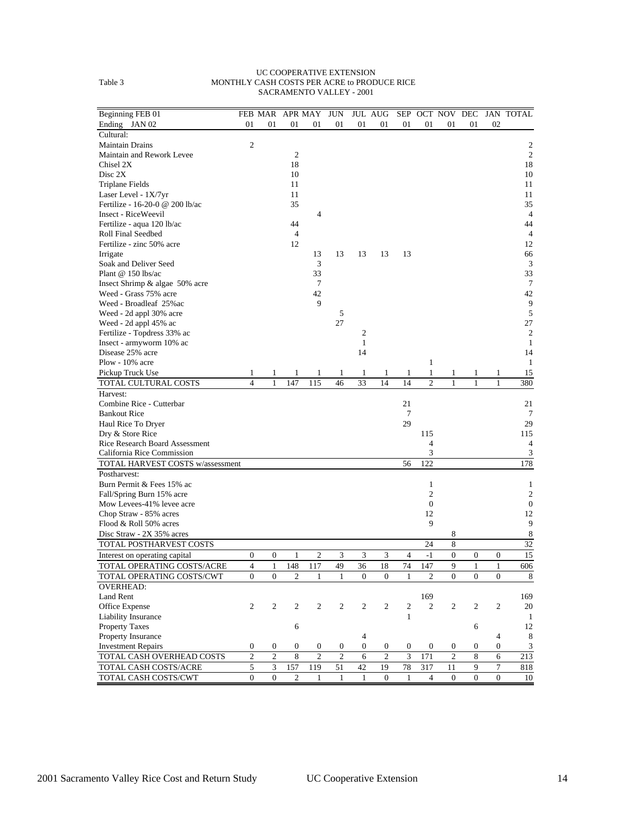#### UC COOPERATIVE EXTENSION Table 3 MONTHLY CASH COSTS PER ACRE to PRODUCE RICE SACRAMENTO VALLEY - 2001

| Beginning FEB 01                        |                  | FEB MAR APR MAY  |                  |                | <b>JUN</b>     |                  | <b>JUL AUG</b> | SEP            |                  | OCT NOV DEC    |                  |                  | JAN TOTAL           |
|-----------------------------------------|------------------|------------------|------------------|----------------|----------------|------------------|----------------|----------------|------------------|----------------|------------------|------------------|---------------------|
| Ending JAN 02                           | 01               | 01               | 01               | 01             | 01             | 01               | 01             | 01             | 01               | 01             | 01               | 02               |                     |
| Cultural:                               |                  |                  |                  |                |                |                  |                |                |                  |                |                  |                  |                     |
| <b>Maintain Drains</b>                  | $\mathfrak{2}$   |                  | $\overline{2}$   |                |                |                  |                |                |                  |                |                  |                  | 2<br>$\overline{c}$ |
| Maintain and Rework Levee               |                  |                  |                  |                |                |                  |                |                |                  |                |                  |                  | 18                  |
| Chisel 2X<br>Disc 2X                    |                  |                  | 18<br>10         |                |                |                  |                |                |                  |                |                  |                  | 10                  |
|                                         |                  |                  | 11               |                |                |                  |                |                |                  |                |                  |                  | 11                  |
| Triplane Fields<br>Laser Level - 1X/7yr |                  |                  | 11               |                |                |                  |                |                |                  |                |                  |                  | 11                  |
| Fertilize - 16-20-0 @ 200 lb/ac         |                  |                  | 35               |                |                |                  |                |                |                  |                |                  |                  | 35                  |
| Insect - RiceWeevil                     |                  |                  |                  | 4              |                |                  |                |                |                  |                |                  |                  | $\overline{4}$      |
| Fertilize - aqua 120 lb/ac              |                  |                  | 44               |                |                |                  |                |                |                  |                |                  |                  | 44                  |
| Roll Final Seedbed                      |                  |                  | $\overline{4}$   |                |                |                  |                |                |                  |                |                  |                  | 4                   |
| Fertilize - zinc 50% acre               |                  |                  | 12               |                |                |                  |                |                |                  |                |                  |                  | 12                  |
| Irrigate                                |                  |                  |                  | 13             | 13             | 13               | 13             | 13             |                  |                |                  |                  | 66                  |
| Soak and Deliver Seed                   |                  |                  |                  | 3              |                |                  |                |                |                  |                |                  |                  | $\mathfrak{Z}$      |
| Plant $@$ 150 lbs/ac                    |                  |                  |                  | 33             |                |                  |                |                |                  |                |                  |                  | 33                  |
| Insect Shrimp & algae 50% acre          |                  |                  |                  | 7              |                |                  |                |                |                  |                |                  |                  | $\tau$              |
| Weed - Grass 75% acre                   |                  |                  |                  | 42             |                |                  |                |                |                  |                |                  |                  | 42                  |
| Weed - Broadleaf 25% ac                 |                  |                  |                  | 9              |                |                  |                |                |                  |                |                  |                  | 9                   |
| Weed - 2d appl 30% acre                 |                  |                  |                  |                | 5              |                  |                |                |                  |                |                  |                  | $\sqrt{5}$          |
| Weed - 2d appl 45% ac                   |                  |                  |                  |                | 27             |                  |                |                |                  |                |                  |                  | 27                  |
| Fertilize - Topdress 33% ac             |                  |                  |                  |                |                | 2                |                |                |                  |                |                  |                  | $\sqrt{2}$          |
| Insect - armyworm 10% ac                |                  |                  |                  |                |                | $\mathbf{1}$     |                |                |                  |                |                  |                  | $\mathbf{1}$        |
| Disease 25% acre                        |                  |                  |                  |                |                | 14               |                |                |                  |                |                  |                  | 14                  |
| Plow - $10\%$ acre                      |                  |                  |                  |                |                |                  |                |                | 1                |                |                  |                  | $\mathbf{1}$        |
| Pickup Truck Use                        | 1                | 1                |                  | 1              | 1              | 1                | 1              | 1              | 1                | 1              | 1                | 1                | 15                  |
| TOTAL CULTURAL COSTS                    | $\overline{4}$   | $\mathbf{1}$     | 147              | 115            | 46             | 33               | 14             | 14             | $\overline{c}$   | $\mathbf{1}$   | $\mathbf{1}$     | $\mathbf{1}$     | 380                 |
| Harvest:                                |                  |                  |                  |                |                |                  |                |                |                  |                |                  |                  |                     |
| Combine Rice - Cutterbar                |                  |                  |                  |                |                |                  |                | 21             |                  |                |                  |                  | 21                  |
| <b>Bankout Rice</b>                     |                  |                  |                  |                |                |                  |                | 7              |                  |                |                  |                  | 7                   |
| Haul Rice To Dryer                      |                  |                  |                  |                |                |                  |                | 29             |                  |                |                  |                  | 29                  |
| Dry & Store Rice                        |                  |                  |                  |                |                |                  |                |                | 115              |                |                  |                  | 115                 |
| <b>Rice Research Board Assessment</b>   |                  |                  |                  |                |                |                  |                |                | 4                |                |                  |                  | 4                   |
| California Rice Commission              |                  |                  |                  |                |                |                  |                |                | 3                |                |                  |                  | 3                   |
| TOTAL HARVEST COSTS w/assessment        |                  |                  |                  |                |                |                  |                | 56             | 122              |                |                  |                  | 178                 |
| Postharvest:                            |                  |                  |                  |                |                |                  |                |                |                  |                |                  |                  |                     |
| Burn Permit & Fees 15% ac               |                  |                  |                  |                |                |                  |                |                | $\mathbf{1}$     |                |                  |                  | 1                   |
| Fall/Spring Burn 15% acre               |                  |                  |                  |                |                |                  |                |                | $\mathfrak{2}$   |                |                  |                  | $\boldsymbol{2}$    |
| Mow Levees-41% levee acre               |                  |                  |                  |                |                |                  |                |                | $\mathbf{0}$     |                |                  |                  | $\mathbf{0}$        |
| Chop Straw - 85% acres                  |                  |                  |                  |                |                |                  |                |                | 12               |                |                  |                  | 12                  |
| Flood & Roll 50% acres                  |                  |                  |                  |                |                |                  |                |                | 9                |                |                  |                  | 9                   |
| Disc Straw - 2X 35% acres               |                  |                  |                  |                |                |                  |                |                |                  | 8              |                  |                  | $\,8\,$             |
| TOTAL POSTHARVEST COSTS                 |                  |                  |                  |                |                |                  |                |                | 24               | 8              |                  |                  | 32                  |
| Interest on operating capital           | $\boldsymbol{0}$ | $\boldsymbol{0}$ | 1                | 2              | 3              | 3                | 3              | $\overline{4}$ | $-1$             | $\mathbf{0}$   | $\mathbf{0}$     | $\boldsymbol{0}$ | 15                  |
| TOTAL OPERATING COSTS/ACRE              | $\overline{4}$   | $\mathbf{1}$     | 148              | 117            | 49             | 36               | 18             | 74             | 147              | 9              | $\mathbf{1}$     | 1                | 606                 |
| TOTAL OPERATING COSTS/CWT               | $\mathbf{0}$     | $\mathbf{0}$     | $\overline{c}$   | $\mathbf{1}$   | $\mathbf{1}$   | $\Omega$         | $\overline{0}$ | $\mathbf{1}$   | $\overline{c}$   | $\mathbf{0}$   | $\overline{0}$   | $\overline{0}$   | 8                   |
| <b>OVERHEAD:</b>                        |                  |                  |                  |                |                |                  |                |                |                  |                |                  |                  |                     |
| Land Rent                               |                  |                  |                  |                |                |                  |                |                | 169              |                |                  |                  | 169                 |
| Office Expense                          | $\mathbf{2}$     | $\boldsymbol{2}$ | $\overline{c}$   | $\mathbf{2}$   | 2              | 2                | $\overline{c}$ | $\overline{c}$ | $\overline{2}$   | 2              | 2                | 2                | 20                  |
| Liability Insurance                     |                  |                  |                  |                |                |                  |                | $\mathbf{1}$   |                  |                |                  |                  | $\mathbf{1}$        |
| Property Taxes                          |                  |                  | 6                |                |                |                  |                |                |                  |                | 6                |                  | 12                  |
| Property Insurance                      |                  |                  |                  |                |                | 4                |                |                |                  |                |                  | 4                | $\,8\,$             |
| <b>Investment Repairs</b>               | $\boldsymbol{0}$ | $\boldsymbol{0}$ | $\boldsymbol{0}$ | $\mathbf{0}$   | 0              | $\boldsymbol{0}$ | 0              | 0              | $\boldsymbol{0}$ | $\overline{0}$ | $\boldsymbol{0}$ | $\overline{0}$   | $\mathfrak{Z}$      |
| TOTAL CASH OVERHEAD COSTS               | $\mathfrak{2}$   | $\mathfrak{2}$   | 8                | $\overline{c}$ | $\mathfrak{2}$ | 6                | $\overline{c}$ | 3              | 171              | $\overline{c}$ | 8                | 6                | $\sqrt{213}$        |
| TOTAL CASH COSTS/ACRE                   | $\sqrt{5}$       | $\overline{3}$   | 157              | 119            | 51             | 42               | 19             | 78             | 317              | 11             | 9                | 7                | 818                 |
| TOTAL CASH COSTS/CWT                    | $\mathbf{0}$     | $\mathbf{0}$     | $\overline{c}$   | 1              | 1              | 1                | $\Omega$       | $\mathbf{1}$   | $\overline{4}$   | $\overline{0}$ | $\overline{0}$   | $\mathbf{0}$     | 10                  |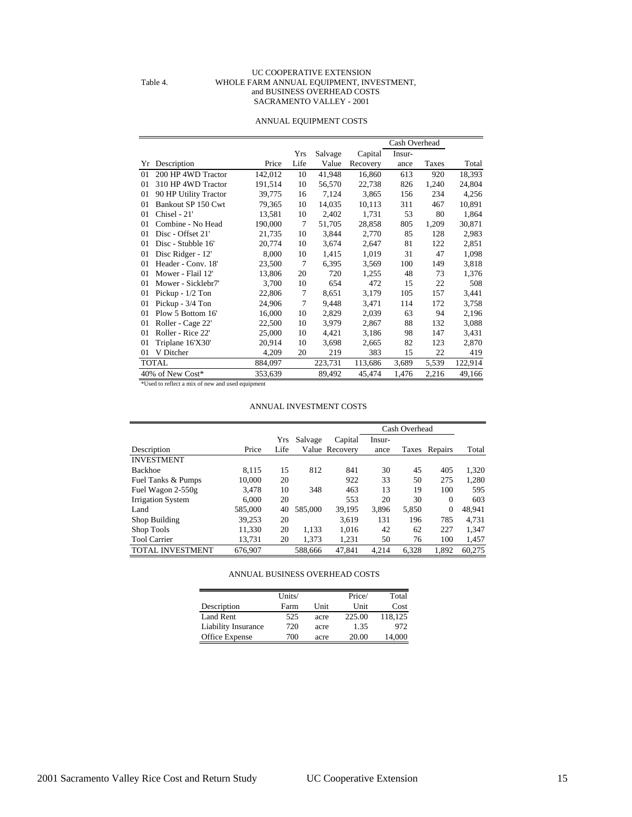#### UC COOPERATIVE EXTENSION Table 4. WHOLE FARM ANNUAL EQUIPMENT, INVESTMENT, and BUSINESS OVERHEAD COSTS SACRAMENTO VALLEY - 2001

#### ANNUAL EQUIPMENT COSTS

|                |                       |         |      |         |          | Cash Overhead |       |         |
|----------------|-----------------------|---------|------|---------|----------|---------------|-------|---------|
|                |                       |         | Yrs  | Salvage | Capital  | Insur-        |       |         |
| Yr             | Description           | Price   | Life | Value   | Recovery | ance          | Taxes | Total   |
| 01             | 200 HP 4WD Tractor    | 142,012 | 10   | 41,948  | 16,860   | 613           | 920   | 18,393  |
| 01             | 310 HP 4WD Tractor    | 191,514 | 10   | 56,570  | 22,738   | 826           | 1,240 | 24,804  |
| 01             | 90 HP Utility Tractor | 39,775  | 16   | 7,124   | 3,865    | 156           | 234   | 4,256   |
| 01             | Bankout SP 150 Cwt    | 79,365  | 10   | 14,035  | 10,113   | 311           | 467   | 10,891  |
| 01             | Chisel - 21'          | 13,581  | 10   | 2,402   | 1.731    | 53            | 80    | 1,864   |
| 0 <sub>1</sub> | Combine - No Head     | 190,000 | 7    | 51,705  | 28,858   | 805           | 1,209 | 30,871  |
| 0 <sub>1</sub> | Disc - Offset 21'     | 21,735  | 10   | 3,844   | 2,770    | 85            | 128   | 2,983   |
| 01             | Disc - Stubble 16'    | 20,774  | 10   | 3,674   | 2,647    | 81            | 122   | 2,851   |
| 01             | Disc Ridger - 12'     | 8,000   | 10   | 1,415   | 1,019    | 31            | 47    | 1,098   |
| $_{01}$        | Header - Conv. 18'    | 23,500  | 7    | 6,395   | 3,569    | 100           | 149   | 3,818   |
| 01             | Mower - Flail 12'     | 13,806  | 20   | 720     | 1,255    | 48            | 73    | 1,376   |
| 01             | Mower - Sicklebr7'    | 3,700   | 10   | 654     | 472      | 15            | 22    | 508     |
| 01             | Pickup - $1/2$ Ton    | 22,806  | 7    | 8,651   | 3,179    | 105           | 157   | 3,441   |
| 01             | Pickup - 3/4 Ton      | 24,906  | 7    | 9,448   | 3,471    | 114           | 172   | 3,758   |
| 01             | Plow 5 Bottom 16'     | 16,000  | 10   | 2,829   | 2,039    | 63            | 94    | 2,196   |
| 01             | Roller - Cage 22'     | 22,500  | 10   | 3,979   | 2,867    | 88            | 132   | 3,088   |
| 01             | Roller - Rice 22'     | 25,000  | 10   | 4,421   | 3,186    | 98            | 147   | 3,431   |
| 01             | Triplane 16'X30'      | 20,914  | 10   | 3,698   | 2,665    | 82            | 123   | 2,870   |
| 01             | V Ditcher             | 4,209   | 20   | 219     | 383      | 15            | 22    | 419     |
|                | <b>TOTAL</b>          | 884,097 |      | 223,731 | 113,686  | 3,689         | 5,539 | 122,914 |
|                | 40% of New Cost*      | 353,639 |      | 89,492  | 45,474   | 1,476         | 2,216 | 49,166  |

\*Used to reflect a mix of new and used equipment

#### ANNUAL INVESTMENT COSTS

|                          |         |      |         |                |        | Cash Overhead |               |        |
|--------------------------|---------|------|---------|----------------|--------|---------------|---------------|--------|
|                          |         |      |         |                |        |               |               |        |
|                          |         | Yrs  | Salvage | Capital        | Insur- |               |               |        |
| Description              | Price   | Life |         | Value Recovery | ance   |               | Taxes Repairs | Total  |
| <b>INVESTMENT</b>        |         |      |         |                |        |               |               |        |
| <b>Backhoe</b>           | 8.115   | 15   | 812     | 841            | 30     | 45            | 405           | 1,320  |
| Fuel Tanks & Pumps       | 10,000  | 20   |         | 922            | 33     | 50            | 275           | 1,280  |
| Fuel Wagon 2-550g        | 3.478   | 10   | 348     | 463            | 13     | 19            | 100           | 595    |
| <b>Irrigation System</b> | 6.000   | 20   |         | 553            | 20     | 30            | $\Omega$      | 603    |
| Land                     | 585,000 | 40   | 585,000 | 39,195         | 3.896  | 5,850         | $\mathbf{0}$  | 48,941 |
| Shop Building            | 39.253  | 20   |         | 3.619          | 131    | 196           | 785           | 4.731  |
| Shop Tools               | 11,330  | 20   | 1,133   | 1.016          | 42     | 62            | 227           | 1,347  |
| <b>Tool Carrier</b>      | 13,731  | 20   | 1.373   | 1,231          | 50     | 76            | 100           | 1,457  |
| <b>TOTAL INVESTMENT</b>  | 676,907 |      | 588,666 | 47,841         | 4,214  | 6.328         | 1.892         | 60.275 |

#### ANNUAL BUSINESS OVERHEAD COSTS

|                            | Units/ |      | Price/ | Total   |
|----------------------------|--------|------|--------|---------|
| Description                | Farm   | Unit | Unit   | Cost    |
| <b>Land Rent</b>           | 525    | acre | 225.00 | 118.125 |
| <b>Liability Insurance</b> | 720    | acre | 1.35   | 972     |
| Office Expense             | 700    | acre | 20.00  | 14,000  |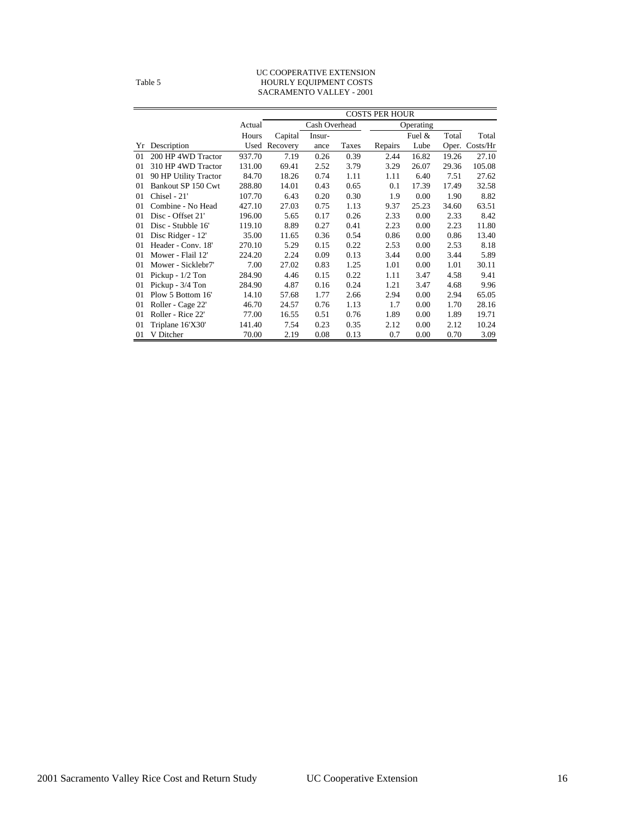#### UC COOPERATIVE EXTENSION Table 5 HOURLY EQUIPMENT COSTS SACRAMENTO VALLEY - 2001

|    |                       |        | <b>COSTS PER HOUR</b> |               |       |         |           |       |          |  |
|----|-----------------------|--------|-----------------------|---------------|-------|---------|-----------|-------|----------|--|
|    |                       | Actual |                       | Cash Overhead |       |         | Operating |       |          |  |
|    |                       | Hours  | Capital               | Insur-        |       |         | Fuel $\&$ | Total | Total    |  |
| Yr | Description           | Used   | Recovery              | ance          | Taxes | Repairs | Lube      | Oper. | Costs/Hr |  |
| 01 | 200 HP 4WD Tractor    | 937.70 | 7.19                  | 0.26          | 0.39  | 2.44    | 16.82     | 19.26 | 27.10    |  |
| 01 | 310 HP 4WD Tractor    | 131.00 | 69.41                 | 2.52          | 3.79  | 3.29    | 26.07     | 29.36 | 105.08   |  |
| 01 | 90 HP Utility Tractor | 84.70  | 18.26                 | 0.74          | 1.11  | 1.11    | 6.40      | 7.51  | 27.62    |  |
| 01 | Bankout SP 150 Cwt    | 288.80 | 14.01                 | 0.43          | 0.65  | 0.1     | 17.39     | 17.49 | 32.58    |  |
| 01 | Chisel - 21'          | 107.70 | 6.43                  | 0.20          | 0.30  | 1.9     | 0.00      | 1.90  | 8.82     |  |
| 01 | Combine - No Head     | 427.10 | 27.03                 | 0.75          | 1.13  | 9.37    | 25.23     | 34.60 | 63.51    |  |
| 01 | Disc - Offset 21'     | 196.00 | 5.65                  | 0.17          | 0.26  | 2.33    | 0.00      | 2.33  | 8.42     |  |
| 01 | Disc - Stubble 16'    | 119.10 | 8.89                  | 0.27          | 0.41  | 2.23    | 0.00      | 2.23  | 11.80    |  |
| 01 | Disc Ridger - 12'     | 35.00  | 11.65                 | 0.36          | 0.54  | 0.86    | 0.00      | 0.86  | 13.40    |  |
| 01 | Header - Conv. 18'    | 270.10 | 5.29                  | 0.15          | 0.22  | 2.53    | 0.00      | 2.53  | 8.18     |  |
| 01 | Mower - Flail 12'     | 224.20 | 2.24                  | 0.09          | 0.13  | 3.44    | 0.00      | 3.44  | 5.89     |  |
| 01 | Mower - Sicklebr7'    | 7.00   | 27.02                 | 0.83          | 1.25  | 1.01    | 0.00      | 1.01  | 30.11    |  |
| 01 | Pickup - $1/2$ Ton    | 284.90 | 4.46                  | 0.15          | 0.22  | 1.11    | 3.47      | 4.58  | 9.41     |  |
| 01 | Pickup - 3/4 Ton      | 284.90 | 4.87                  | 0.16          | 0.24  | 1.21    | 3.47      | 4.68  | 9.96     |  |
| 01 | Plow 5 Bottom 16'     | 14.10  | 57.68                 | 1.77          | 2.66  | 2.94    | 0.00      | 2.94  | 65.05    |  |
| 01 | Roller - Cage 22'     | 46.70  | 24.57                 | 0.76          | 1.13  | 1.7     | 0.00      | 1.70  | 28.16    |  |
| 01 | Roller - Rice 22'     | 77.00  | 16.55                 | 0.51          | 0.76  | 1.89    | 0.00      | 1.89  | 19.71    |  |
| 01 | Triplane 16'X30'      | 141.40 | 7.54                  | 0.23          | 0.35  | 2.12    | 0.00      | 2.12  | 10.24    |  |
| 01 | V Ditcher             | 70.00  | 2.19                  | 0.08          | 0.13  | 0.7     | 0.00      | 0.70  | 3.09     |  |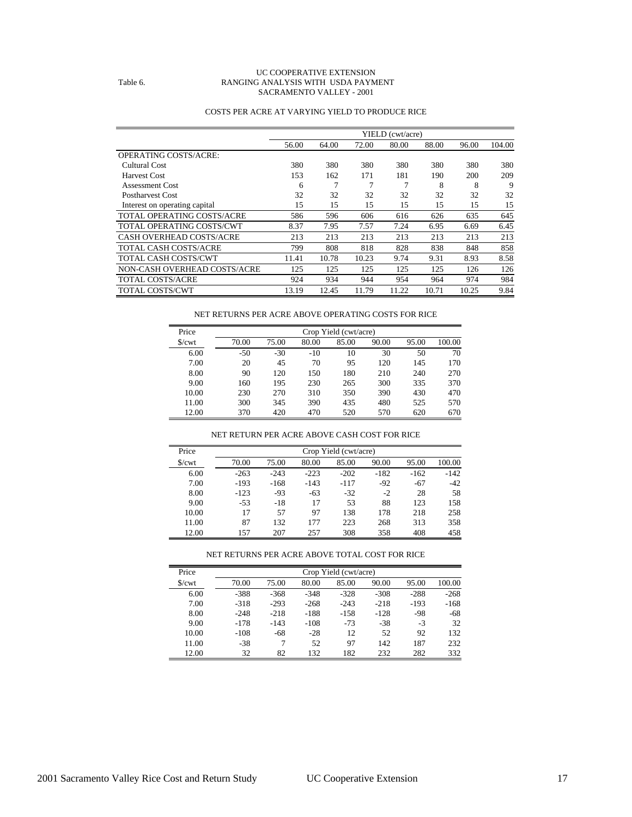#### UC COOPERATIVE EXTENSION Table 6. RANGING ANALYSIS WITH USDA PAYMENT SACRAMENTO VALLEY - 2001

|                               |       |       |       | YIELD (cwt/acre) |       |       |        |
|-------------------------------|-------|-------|-------|------------------|-------|-------|--------|
|                               | 56.00 | 64.00 | 72.00 | 80.00            | 88.00 | 96.00 | 104.00 |
| <b>OPERATING COSTS/ACRE:</b>  |       |       |       |                  |       |       |        |
| Cultural Cost                 | 380   | 380   | 380   | 380              | 380   | 380   | 380    |
| Harvest Cost                  | 153   | 162   | 171   | 181              | 190   | 200   | 209    |
| <b>Assessment Cost</b>        | 6     |       |       | 7                | 8     | 8     | 9      |
| <b>Postharvest Cost</b>       | 32    | 32    | 32    | 32               | 32    | 32    | 32     |
| Interest on operating capital | 15    | 15    | 15    | 15               | 15    | 15    | 15     |
| TOTAL OPERATING COSTS/ACRE    | 586   | 596   | 606   | 616              | 626   | 635   | 645    |
| TOTAL OPERATING COSTS/CWT     | 8.37  | 7.95  | 7.57  | 7.24             | 6.95  | 6.69  | 6.45   |
| CASH OVERHEAD COSTS/ACRE      | 213   | 213   | 213   | 213              | 213   | 213   | 213    |
| <b>TOTAL CASH COSTS/ACRE</b>  | 799   | 808   | 818   | 828              | 838   | 848   | 858    |
| <b>TOTAL CASH COSTS/CWT</b>   | 11.41 | 10.78 | 10.23 | 9.74             | 9.31  | 8.93  | 8.58   |
| NON-CASH OVERHEAD COSTS/ACRE  | 125   | 125   | 125   | 125              | 125   | 126   | 126    |
| <b>TOTAL COSTS/ACRE</b>       | 924   | 934   | 944   | 954              | 964   | 974   | 984    |
| <b>TOTAL COSTS/CWT</b>        | 13.19 | 12.45 | 11.79 | 11.22            | 10.71 | 10.25 | 9.84   |

#### COSTS PER ACRE AT VARYING YIELD TO PRODUCE RICE

| NET RETURNS PER ACRE ABOVE OPERATING COSTS FOR RICE |  |  |  |
|-----------------------------------------------------|--|--|--|
|-----------------------------------------------------|--|--|--|

| Price                  | Crop Yield (cwt/acre) |       |       |       |       |       |        |  |  |
|------------------------|-----------------------|-------|-------|-------|-------|-------|--------|--|--|
| $\sqrt{\frac{2}{\pi}}$ | 70.00                 | 75.00 | 80.00 | 85.00 | 90.00 | 95.00 | 100.00 |  |  |
| 6.00                   | $-50$                 | $-30$ | $-10$ | 10    | 30    | 50    | 70     |  |  |
| 7.00                   | 20                    | 45    | 70    | 95    | 120   | 145   | 170    |  |  |
| 8.00                   | 90                    | 120   | 150   | 180   | 210   | 240   | 270    |  |  |
| 9.00                   | 160                   | 195   | 230   | 265   | 300   | 335   | 370    |  |  |
| 10.00                  | 230                   | 270   | 310   | 350   | 390   | 430   | 470    |  |  |
| 11.00                  | 300                   | 345   | 390   | 435   | 480   | 525   | 570    |  |  |
| 12.00                  | 370                   | 420   | 470   | 520   | 570   | 620   | 670    |  |  |

#### NET RETURN PER ACRE ABOVE CASH COST FOR RICE

| Price | Crop Yield (cwt/acre) |        |        |        |        |        |        |  |
|-------|-----------------------|--------|--------|--------|--------|--------|--------|--|
| S/cwt | 70.00                 | 75.00  | 80.00  | 85.00  | 90.00  | 95.00  | 100.00 |  |
| 6.00  | $-263$                | $-243$ | $-223$ | $-202$ | $-182$ | $-162$ | $-142$ |  |
| 7.00  | $-193$                | $-168$ | $-143$ | $-117$ | $-92$  | $-67$  | $-42$  |  |
| 8.00  | $-123$                | $-93$  | $-63$  | $-32$  | $-2$   | 28     | 58     |  |
| 9.00  | $-53$                 | $-18$  | 17     | 53     | 88     | 123    | 158    |  |
| 10.00 | 17                    | 57     | 97     | 138    | 178    | 218    | 258    |  |
| 11.00 | 87                    | 132    | 177    | 223    | 268    | 313    | 358    |  |
| 12.00 | 157                   | 207    | 257    | 308    | 358    | 408    | 458    |  |

#### NET RETURNS PER ACRE ABOVE TOTAL COST FOR RICE

| Price             | Crop Yield (cwt/acre) |        |        |        |        |        |        |  |  |  |
|-------------------|-----------------------|--------|--------|--------|--------|--------|--------|--|--|--|
| $\sqrt{\text{c}}$ | 70.00                 | 75.00  | 80.00  | 85.00  | 90.00  | 95.00  | 100.00 |  |  |  |
| 6.00              | $-388$                | $-368$ | $-348$ | $-328$ | $-308$ | $-288$ | $-268$ |  |  |  |
| 7.00              | $-318$                | $-293$ | $-268$ | $-243$ | $-218$ | $-193$ | $-168$ |  |  |  |
| 8.00              | $-248$                | $-218$ | $-188$ | $-158$ | $-128$ | $-98$  | -68    |  |  |  |
| 9.00              | $-178$                | $-143$ | $-108$ | $-73$  | $-38$  | $-3$   | 32     |  |  |  |
| 10.00             | $-108$                | $-68$  | $-28$  | 12     | 52     | 92     | 132    |  |  |  |
| 11.00             | $-38$                 |        | 52     | 97     | 142    | 187    | 232    |  |  |  |
| 12.00             | 32                    | 82     | 132    | 182    | 232    | 282    | 332    |  |  |  |

÷,

 $\overline{a}$